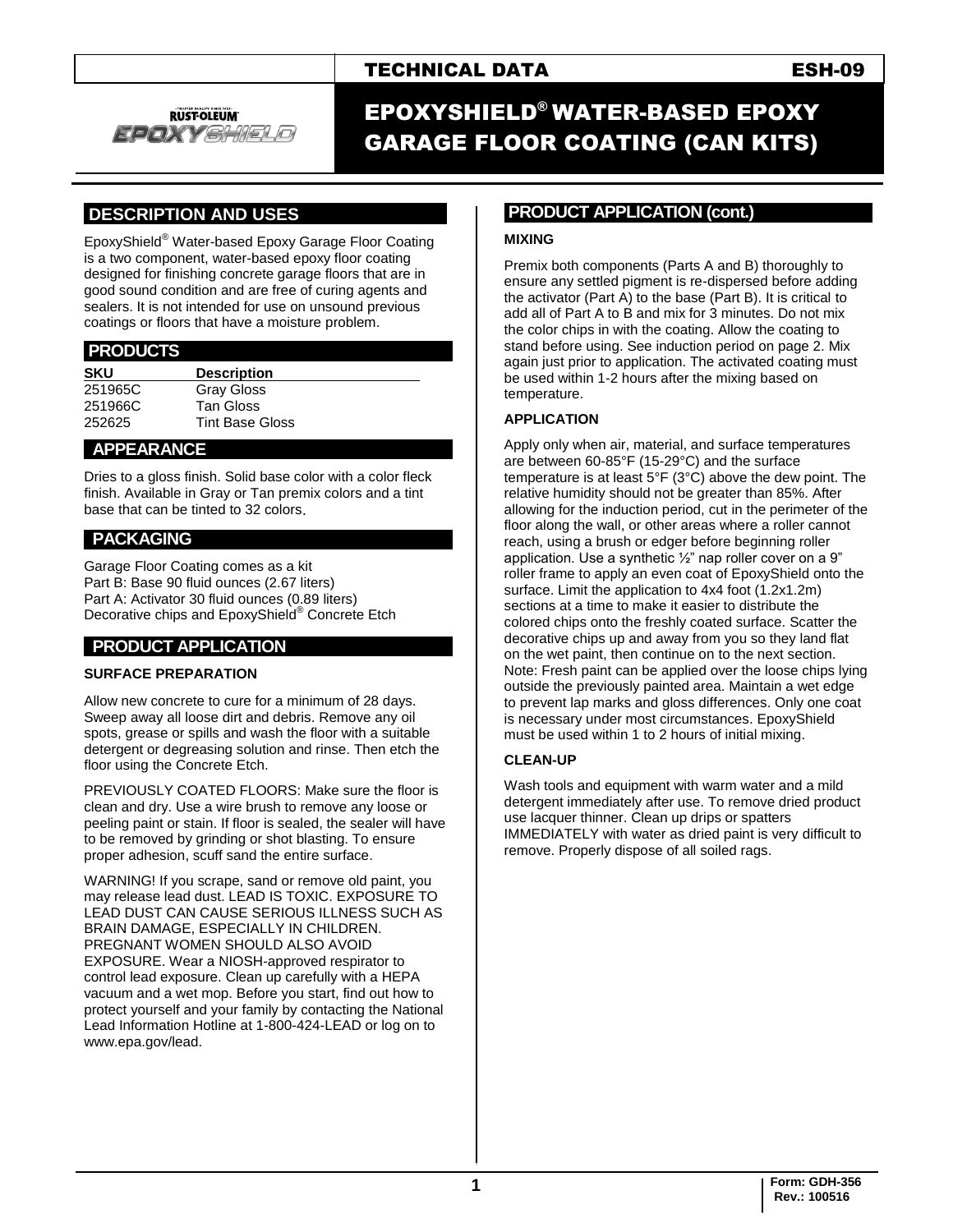# TECHNICAL DATA ESH-09



# EPOXYSHIELD® WATER-BASED EPOXY GARAGE FLOOR COATING (CAN KITS)

# **.DESCRIPTION AND USES .**

EpoxyShield® Water-based Epoxy Garage Floor Coating is a two component, water-based epoxy floor coating designed for finishing concrete garage floors that are in good sound condition and are free of curing agents and sealers. It is not intended for use on unsound previous coatings or floors that have a moisture problem.

| <b>Description</b>     |  |
|------------------------|--|
| <b>Gray Gloss</b>      |  |
| <b>Tan Gloss</b>       |  |
| <b>Tint Base Gloss</b> |  |
|                        |  |

### **APPEARANCE .**

Dries to a gloss finish. Solid base color with a color fleck finish. Available in Gray or Tan premix colors and a tint base that can be tinted to 32 colors.

## **PACKAGING .**

Garage Floor Coating comes as a kit Part B: Base 90 fluid ounces (2.67 liters) Part A: Activator 30 fluid ounces (0.89 liters) Decorative chips and EpoxyShield® Concrete Etch

# **PRODUCT APPLICATION .**

#### **SURFACE PREPARATION**

Allow new concrete to cure for a minimum of 28 days. Sweep away all loose dirt and debris. Remove any oil spots, grease or spills and wash the floor with a suitable detergent or degreasing solution and rinse. Then etch the floor using the Concrete Etch.

PREVIOUSLY COATED FLOORS: Make sure the floor is clean and dry. Use a wire brush to remove any loose or peeling paint or stain. If floor is sealed, the sealer will have to be removed by grinding or shot blasting. To ensure proper adhesion, scuff sand the entire surface.

WARNING! If you scrape, sand or remove old paint, you may release lead dust. LEAD IS TOXIC. EXPOSURE TO LEAD DUST CAN CAUSE SERIOUS ILLNESS SUCH AS BRAIN DAMAGE, ESPECIALLY IN CHILDREN. PREGNANT WOMEN SHOULD ALSO AVOID EXPOSURE. Wear a NIOSH-approved respirator to control lead exposure. Clean up carefully with a HEPA vacuum and a wet mop. Before you start, find out how to protect yourself and your family by contacting the National Lead Information Hotline at 1-800-424-LEAD or log on to www.epa.gov/lead.

#### **.PRODUCT APPLICATION (cont.) .**

#### **MIXING**

Premix both components (Parts A and B) thoroughly to ensure any settled pigment is re-dispersed before adding the activator (Part A) to the base (Part B). It is critical to add all of Part A to B and mix for 3 minutes. Do not mix the color chips in with the coating. Allow the coating to stand before using. See induction period on page 2. Mix again just prior to application. The activated coating must be used within 1-2 hours after the mixing based on temperature.

#### **APPLICATION**

Apply only when air, material, and surface temperatures are between 60-85°F (15-29°C) and the surface temperature is at least 5°F (3°C) above the dew point. The relative humidity should not be greater than 85%. After allowing for the induction period, cut in the perimeter of the floor along the wall, or other areas where a roller cannot reach, using a brush or edger before beginning roller application. Use a synthetic ½" nap roller cover on a 9" roller frame to apply an even coat of EpoxyShield onto the surface. Limit the application to 4x4 foot (1.2x1.2m) sections at a time to make it easier to distribute the colored chips onto the freshly coated surface. Scatter the decorative chips up and away from you so they land flat on the wet paint, then continue on to the next section. Note: Fresh paint can be applied over the loose chips lying outside the previously painted area. Maintain a wet edge to prevent lap marks and gloss differences. Only one coat is necessary under most circumstances. EpoxyShield must be used within 1 to 2 hours of initial mixing.

#### **CLEAN-UP**

Wash tools and equipment with warm water and a mild detergent immediately after use. To remove dried product use lacquer thinner. Clean up drips or spatters IMMEDIATELY with water as dried paint is very difficult to remove. Properly dispose of all soiled rags.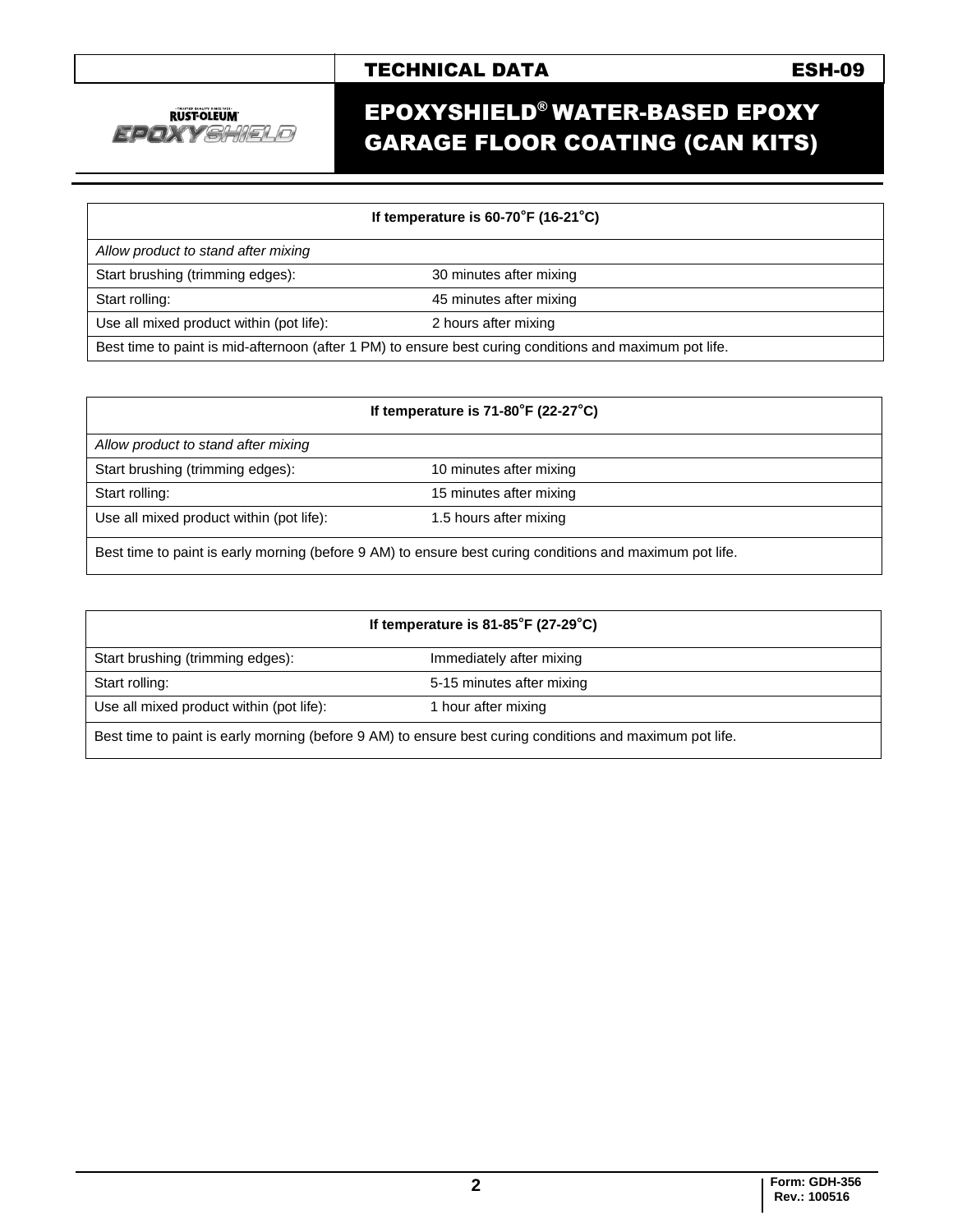# TECHNICAL DATA **ESH-09**



# EPOXYSHIELD® WATER-BASED EPOXY GARAGE FLOOR COATING (CAN KITS)

#### **If temperature is 60-70°F (16-21°C)**

| Allow product to stand after mixing                                                                     |                         |  |
|---------------------------------------------------------------------------------------------------------|-------------------------|--|
| Start brushing (trimming edges):                                                                        | 30 minutes after mixing |  |
| Start rolling:                                                                                          | 45 minutes after mixing |  |
| Use all mixed product within (pot life):                                                                | 2 hours after mixing    |  |
| Best time to paint is mid-afternoon (after 1 PM) to ensure best curing conditions and maximum pot life. |                         |  |

| If temperature is $71-80^\circ$ F (22-27 $\circ$ C) |                                                                                                          |  |
|-----------------------------------------------------|----------------------------------------------------------------------------------------------------------|--|
| Allow product to stand after mixing                 |                                                                                                          |  |
| Start brushing (trimming edges):                    | 10 minutes after mixing                                                                                  |  |
| Start rolling:                                      | 15 minutes after mixing                                                                                  |  |
| Use all mixed product within (pot life):            | 1.5 hours after mixing                                                                                   |  |
|                                                     | Best time to paint is early morning (before 9 AM) to ensure best curing conditions and maximum pot life. |  |

| If temperature is $81-85^\circ$ F (27-29 $^\circ$ C)                                                     |                           |  |
|----------------------------------------------------------------------------------------------------------|---------------------------|--|
| Start brushing (trimming edges):                                                                         | Immediately after mixing  |  |
| Start rolling:                                                                                           | 5-15 minutes after mixing |  |
| Use all mixed product within (pot life):                                                                 | 1 hour after mixing       |  |
| Best time to paint is early morning (before 9 AM) to ensure best curing conditions and maximum pot life. |                           |  |